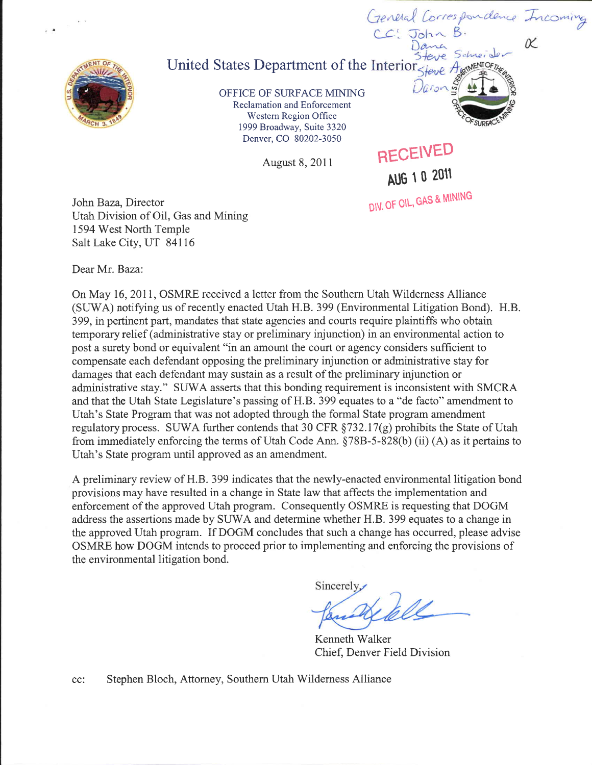

## United States Department of the Interior. Steve t

OFFICE OF SURFACE MINING Reclamation and Enforcement Western Region Office 1999 Broadway, Suite 3320 Denver, CO 80202-3050

August 8, 2011 RECEIVED Aug 1 o <sup>2011</sup>

Daron

General Correspondence Incoming

Schneide **IMENTOFTA** 

OZ

DIV, OF OIL, GAS & MINING

John Baza, Director Utah Division of Oil, Gas and Mining 1594 West North Temple Salt Lake City, UT 84116

Dear Mr. Baza:

On May 16, 2011, OSMRE received a letter from the Southern Utah Wilderness Alliance (SUWA) notifying us of recently enacted Utah H.B. 399 (Environmental Litigation Bond). H.B. 399, in pertinent part, mandates that state agencies and courts require plaintiffs who obtain temporary relief (administrative stay or preliminary injunction) in an environmental action to post a surety bond or equivalent "in an amount the court or agency considers sufficient to compensate each defendant opposing the preliminary injunction or administrative stay for damages that each defendant may sustain as a result of the preliminary injunction or administrative stay." SIIWA asserts that this bonding requirement is inconsistent with SMCRA and that the Utah State Legislature's passing of H.B. 399 equates to a "de facto" amendment to Utah's State Program that was not adopted through the formal State program amendment regulatory process. SUWA further contends that 30 CFR  $\S$ 732.17(g) prohibits the State of Utah from immediately enforcing the terms of Utah Code Ann.  $\S78B-5-828(b)$  (ii) (A) as it pertains to Utah's State program until approved as an amendment.

A preliminary review of H.B. 399 indicates that the newly-enacted environmental litigation bond provisions may have resulted in a change in State law that affects the implementation and enforcement of the approved Utah program. Consequently OSIMRE is requesting that DOGM address the assertions made by SUWA and determine whether H.B. 399 equates to a change in the approved Utah program. If DOGM concludes that such a change has occurred, please advise OSMRE how DOGM intends to proceed prior to implementing and enforcing the provisions of the environmental litigation bond.

Sincerely

Kenneth Walker Chief. Denver Field Division

cc: Stephen Bloch, Attorney, Southern Utah Wilderness Alliance